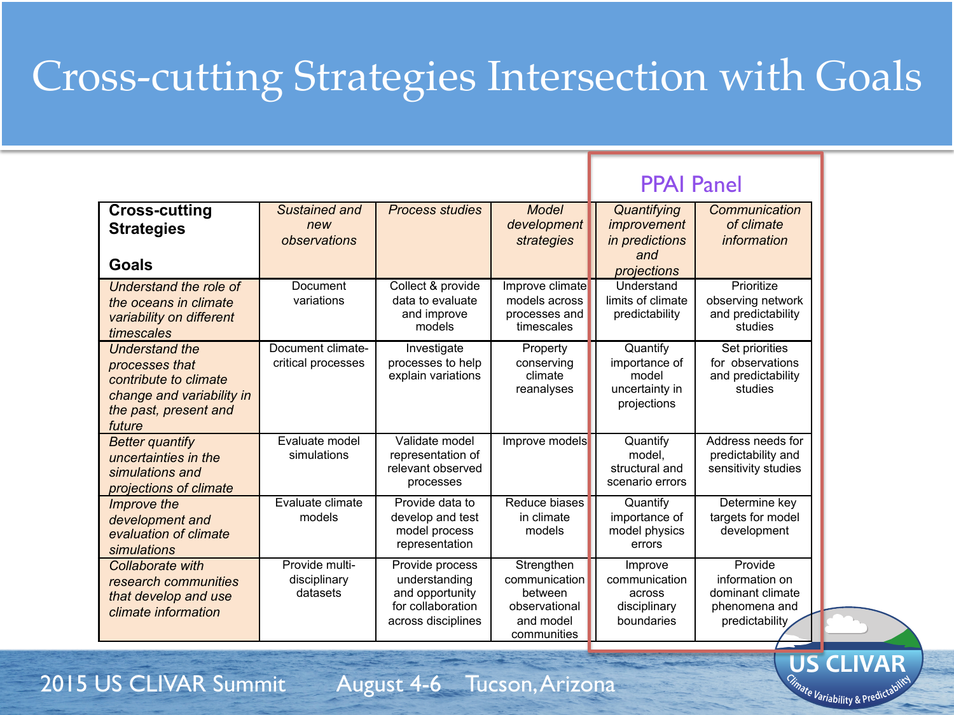# Cross-cutting Strategies Intersection with Goals

**PPAI P** 

|                                                                                                                                  |                                            |                                                                                                |                                                                                     | PPAI Panel                                                          |                                                                                  |
|----------------------------------------------------------------------------------------------------------------------------------|--------------------------------------------|------------------------------------------------------------------------------------------------|-------------------------------------------------------------------------------------|---------------------------------------------------------------------|----------------------------------------------------------------------------------|
| <b>Cross-cutting</b><br><b>Strategies</b><br>Goals                                                                               | Sustained and<br>new<br>observations       | <b>Process studies</b>                                                                         | Model<br>development<br>strategies                                                  | Quantifying<br>improvement<br>in predictions<br>and<br>projections  | Communication<br>of climate<br>information                                       |
| Understand the role of<br>the oceans in climate<br>variability on different<br>timescales                                        | Document<br>variations                     | Collect & provide<br>data to evaluate<br>and improve<br>models                                 | Improve climate<br>models across<br>processes and<br>timescales                     | Understand<br>limits of climate<br>predictability                   | Prioritize<br>observing network<br>and predictability<br>studies                 |
| <b>Understand the</b><br>processes that<br>contribute to climate<br>change and variability in<br>the past, present and<br>future | Document climate-<br>critical processes    | Investigate<br>processes to help<br>explain variations                                         | Property<br>conserving<br>climate<br>reanalyses                                     | Quantify<br>importance of<br>model<br>uncertainty in<br>projections | Set priorities<br>for observations<br>and predictability<br>studies              |
| <b>Better quantify</b><br>uncertainties in the<br>simulations and<br>projections of climate                                      | Evaluate model<br>simulations              | Validate model<br>representation of<br>relevant observed<br>processes                          | Improve models                                                                      | Quantify<br>model.<br>structural and<br>scenario errors             | Address needs for<br>predictability and<br>sensitivity studies                   |
| <i>Improve the</i><br>development and<br>evaluation of climate<br>simulations                                                    | Evaluate climate<br>models                 | Provide data to<br>develop and test<br>model process<br>representation                         | Reduce biases<br>in climate<br>models                                               | Quantify<br>importance of<br>model physics<br>errors                | Determine key<br>targets for model<br>development                                |
| Collaborate with<br>research communities<br>that develop and use<br>climate information                                          | Provide multi-<br>disciplinary<br>datasets | Provide process<br>understanding<br>and opportunity<br>for collaboration<br>across disciplines | Strengthen<br>communication<br>between<br>observational<br>and model<br>communities | Improve<br>communication<br>across<br>disciplinary<br>boundaries    | Provide<br>information on<br>dominant climate<br>phenomena and<br>predictability |

2015 US CLIVAR Summit August 4-6 Tucson, Arizona

**C US CLIVAR**

nate Variability & Predictable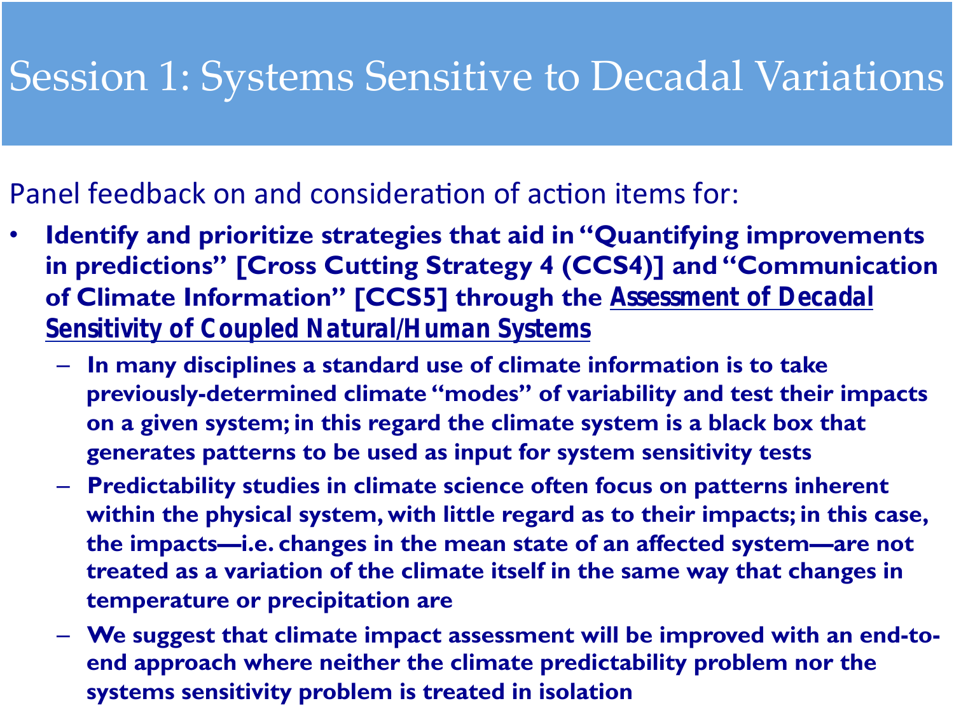### Session 1: Systems Sensitive to Decadal Variations

#### Panel feedback on and consideration of action items for:

- **Identify and prioritize strategies that aid in "Quantifying improvements in predictions" [Cross Cutting Strategy 4 (CCS4)] and "Communication of Climate Information" [CCS5] through the** *Assessment of Decadal Sensitivity of Coupled Natural/Human Systems*
	- **In many disciplines a standard use of climate information is to take previously-determined climate "modes" of variability and test their impacts on a given system; in this regard the climate system is a black box that generates patterns to be used as input for system sensitivity tests**
	- **Predictability studies in climate science often focus on patterns inherent within the physical system, with little regard as to their impacts; in this case, the impacts—i.e. changes in the mean state of an affected system—are not treated as a variation of the climate itself in the same way that changes in temperature or precipitation are**
	- end approach where neither the climate predictability problem nor the **systems sensitivity problem is treated in isolation** – **We suggest that climate impact assessment will be improved with an end-to-**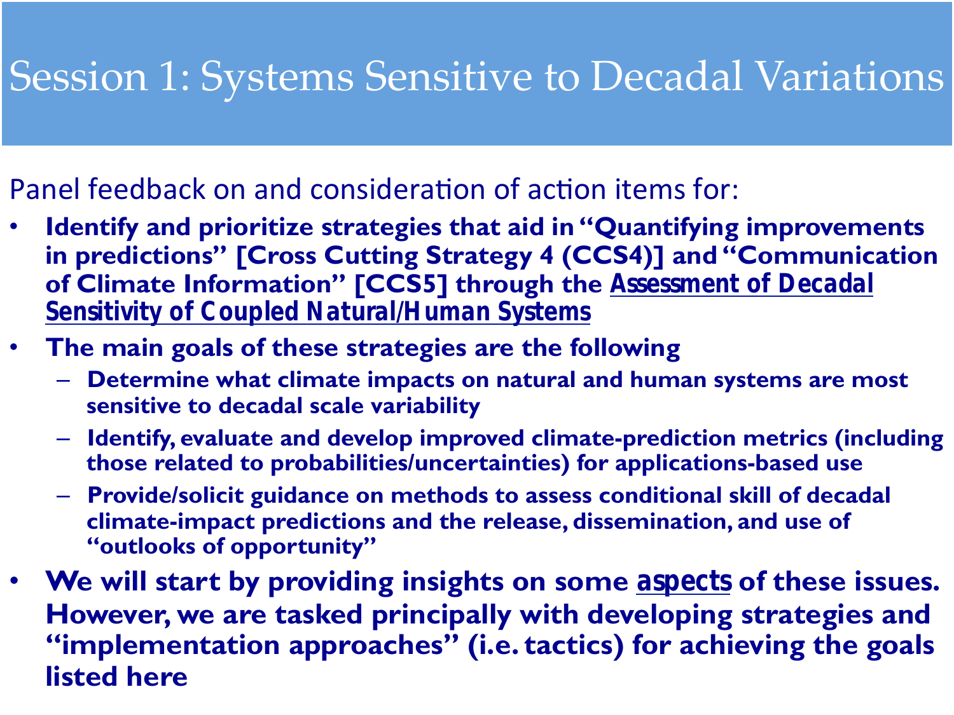### Session 1: Systems Sensitive to Decadal Variations

### Panel feedback on and consideration of action items for:

- **Identify and prioritize strategies that aid in "Quantifying improvements in predictions" [Cross Cutting Strategy 4 (CCS4)] and "Communication of Climate Information" [CCS5] through the** *Assessment of Decadal Sensitivity of Coupled Natural/Human Systems*
- **The main goals of these strategies are the following** 
	- **Determine what climate impacts on natural and human systems are most sensitive to decadal scale variability**
	- **Identify, evaluate and develop improved climate-prediction metrics (including those related to probabilities/uncertainties) for applications-based use**
	- **Provide/solicit guidance on methods to assess conditional skill of decadal climate-impact predictions and the release, dissemination, and use of "outlooks of opportunity"**
- **P** die pos **listed here listed here listed n** • **We will start by providing insights on some** *aspects* **of these issues. However, we are tasked principally with developing strategies and "implementation approaches" (i.e. tactics) for achieving the goals**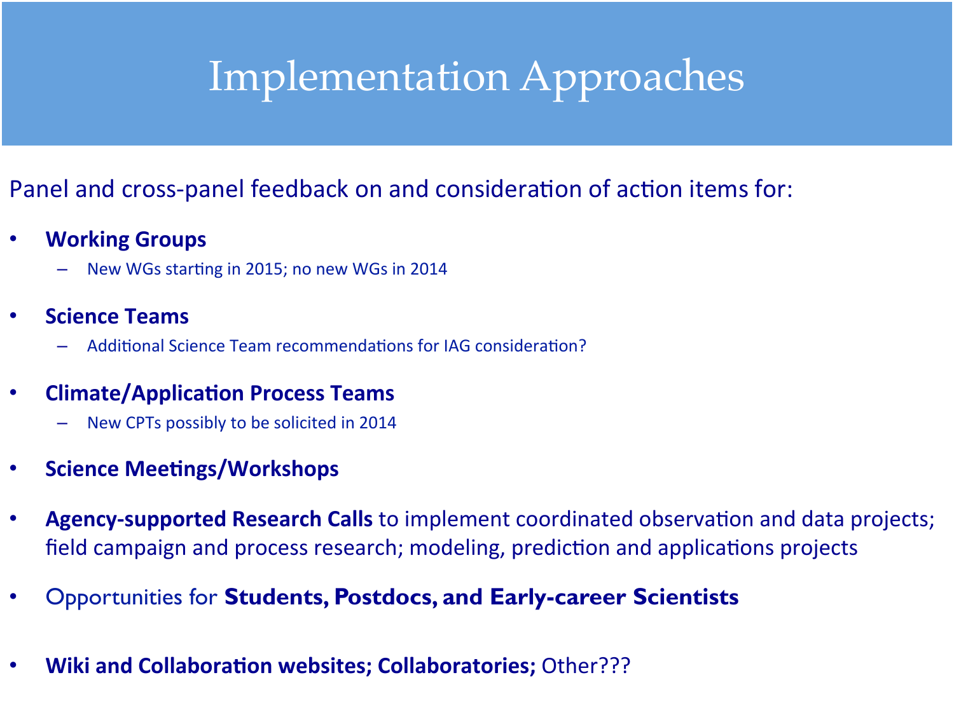## Implementation Approaches

#### Panel and cross-panel feedback on and consideration of action items for:

- **Working Groups** 
	- New WGs starting in 2015; no new WGs in 2014
- **Science Teams** 
	- Additional Science Team recommendations for IAG consideration?
- **Climate/Application Process Teams** 
	- New CPTs possibly to be solicited in 2014
- **Science Meetings/Workshops**
- **Agency-supported Research Calls** to implement coordinated observation and data projects; field campaign and process research; modeling, prediction and applications projects
- Opportunities for **Students, Postdocs, and Early-career Scientists**
- 2016 USA COMMONADOR REMONSO, COMMONADORES (CARDINAL) • Wiki and Collaboration websites; Collaboratories; Other???